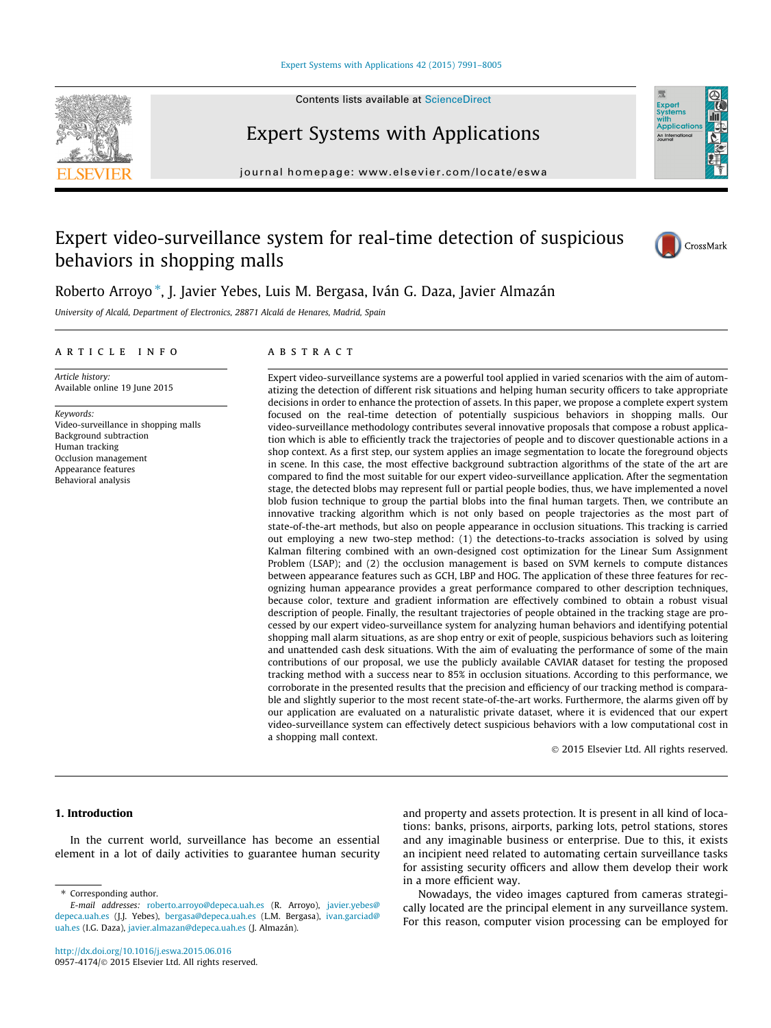#### [Expert Systems with Applications 42 \(2015\) 7991–8005](http://dx.doi.org/10.1016/j.eswa.2015.06.016)

Contents lists available at [ScienceDirect](http://www.sciencedirect.com/science/journal/09574174)





# Expert Systems with Applications

journal homepage: [www.elsevier.com/locate/eswa](http://www.elsevier.com/locate/eswa)

### Expert video-surveillance system for real-time detection of suspicious behaviors in shopping malls



Roberto Arroyo \*, J. Javier Yebes, Luis M. Bergasa, Iván G. Daza, Javier Almazán

University of Alcalá, Department of Electronics, 28871 Alcalá de Henares, Madrid, Spain

#### article info

Article history: Available online 19 June 2015

Keywords: Video-surveillance in shopping malls Background subtraction Human tracking Occlusion management Appearance features Behavioral analysis

#### **ABSTRACT**

Expert video-surveillance systems are a powerful tool applied in varied scenarios with the aim of automatizing the detection of different risk situations and helping human security officers to take appropriate decisions in order to enhance the protection of assets. In this paper, we propose a complete expert system focused on the real-time detection of potentially suspicious behaviors in shopping malls. Our video-surveillance methodology contributes several innovative proposals that compose a robust application which is able to efficiently track the trajectories of people and to discover questionable actions in a shop context. As a first step, our system applies an image segmentation to locate the foreground objects in scene. In this case, the most effective background subtraction algorithms of the state of the art are compared to find the most suitable for our expert video-surveillance application. After the segmentation stage, the detected blobs may represent full or partial people bodies, thus, we have implemented a novel blob fusion technique to group the partial blobs into the final human targets. Then, we contribute an innovative tracking algorithm which is not only based on people trajectories as the most part of state-of-the-art methods, but also on people appearance in occlusion situations. This tracking is carried out employing a new two-step method: (1) the detections-to-tracks association is solved by using Kalman filtering combined with an own-designed cost optimization for the Linear Sum Assignment Problem (LSAP); and (2) the occlusion management is based on SVM kernels to compute distances between appearance features such as GCH, LBP and HOG. The application of these three features for recognizing human appearance provides a great performance compared to other description techniques, because color, texture and gradient information are effectively combined to obtain a robust visual description of people. Finally, the resultant trajectories of people obtained in the tracking stage are processed by our expert video-surveillance system for analyzing human behaviors and identifying potential shopping mall alarm situations, as are shop entry or exit of people, suspicious behaviors such as loitering and unattended cash desk situations. With the aim of evaluating the performance of some of the main contributions of our proposal, we use the publicly available CAVIAR dataset for testing the proposed tracking method with a success near to 85% in occlusion situations. According to this performance, we corroborate in the presented results that the precision and efficiency of our tracking method is comparable and slightly superior to the most recent state-of-the-art works. Furthermore, the alarms given off by our application are evaluated on a naturalistic private dataset, where it is evidenced that our expert video-surveillance system can effectively detect suspicious behaviors with a low computational cost in a shopping mall context.

- 2015 Elsevier Ltd. All rights reserved.

#### 1. Introduction

In the current world, surveillance has become an essential element in a lot of daily activities to guarantee human security

⇑ Corresponding author. E-mail addresses: [roberto.arroyo@depeca.uah.es](mailto:roberto.arroyo@depeca.uah.es) (R. Arroyo), [javier.yebes@](mailto:javier.yebes@depeca.uah.es) [depeca.uah.es](mailto:javier.yebes@depeca.uah.es) (J.J. Yebes), [bergasa@depeca.uah.es](mailto:bergasa@depeca.uah.es) (L.M. Bergasa), [ivan.garciad@](mailto:ivan.garciad@uah.es) [uah.es](mailto:ivan.garciad@uah.es) (I.G. Daza), [javier.almazan@depeca.uah.es](mailto:javier.almazan@depeca.uah.es) (J. Almazán).

and property and assets protection. It is present in all kind of locations: banks, prisons, airports, parking lots, petrol stations, stores and any imaginable business or enterprise. Due to this, it exists an incipient need related to automating certain surveillance tasks for assisting security officers and allow them develop their work in a more efficient way.

Nowadays, the video images captured from cameras strategically located are the principal element in any surveillance system. For this reason, computer vision processing can be employed for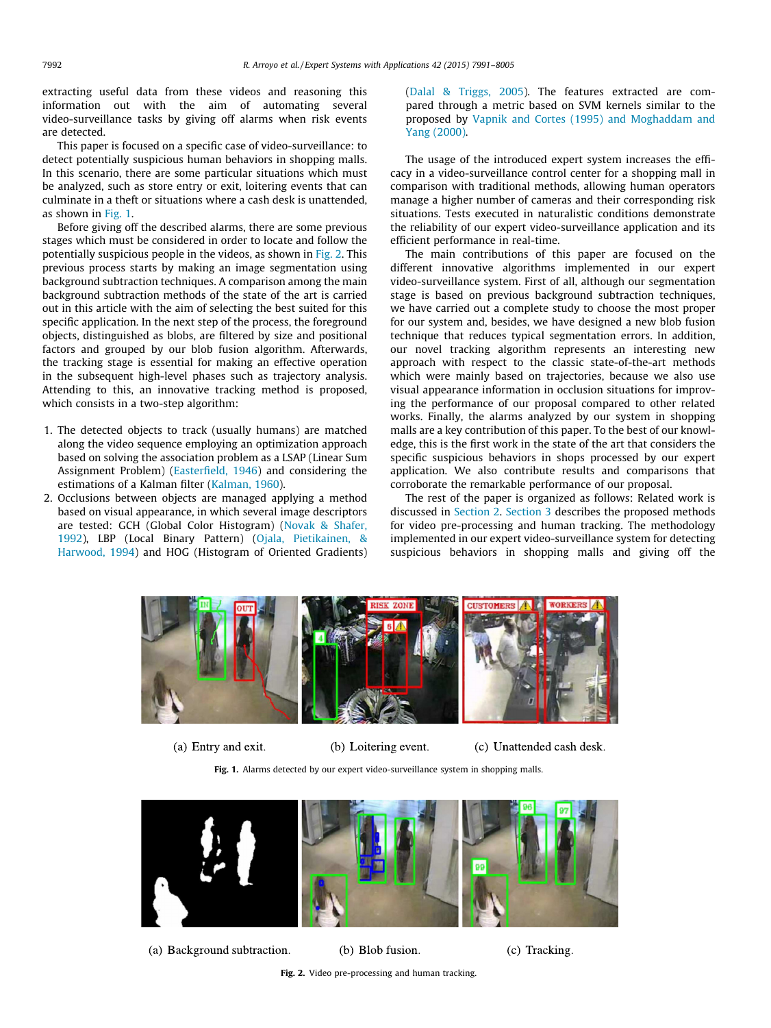extracting useful data from these videos and reasoning this information out with the aim of automating several video-surveillance tasks by giving off alarms when risk events are detected.

This paper is focused on a specific case of video-surveillance: to detect potentially suspicious human behaviors in shopping malls. In this scenario, there are some particular situations which must be analyzed, such as store entry or exit, loitering events that can culminate in a theft or situations where a cash desk is unattended, as shown in Fig. 1.

Before giving off the described alarms, there are some previous stages which must be considered in order to locate and follow the potentially suspicious people in the videos, as shown in Fig. 2. This previous process starts by making an image segmentation using background subtraction techniques. A comparison among the main background subtraction methods of the state of the art is carried out in this article with the aim of selecting the best suited for this specific application. In the next step of the process, the foreground objects, distinguished as blobs, are filtered by size and positional factors and grouped by our blob fusion algorithm. Afterwards, the tracking stage is essential for making an effective operation in the subsequent high-level phases such as trajectory analysis. Attending to this, an innovative tracking method is proposed, which consists in a two-step algorithm:

- 1. The detected objects to track (usually humans) are matched along the video sequence employing an optimization approach based on solving the association problem as a LSAP (Linear Sum Assignment Problem) [\(Easterfield, 1946\)](#page--1-0) and considering the estimations of a Kalman filter [\(Kalman, 1960\)](#page--1-0).
- 2. Occlusions between objects are managed applying a method based on visual appearance, in which several image descriptors are tested: GCH (Global Color Histogram) ([Novak & Shafer,](#page--1-0) [1992\)](#page--1-0), LBP (Local Binary Pattern) [\(Ojala, Pietikainen, &](#page--1-0) [Harwood, 1994](#page--1-0)) and HOG (Histogram of Oriented Gradients)

([Dalal & Triggs, 2005\)](#page--1-0). The features extracted are compared through a metric based on SVM kernels similar to the proposed by [Vapnik and Cortes \(1995\) and Moghaddam and](#page--1-0) [Yang \(2000\).](#page--1-0)

The usage of the introduced expert system increases the efficacy in a video-surveillance control center for a shopping mall in comparison with traditional methods, allowing human operators manage a higher number of cameras and their corresponding risk situations. Tests executed in naturalistic conditions demonstrate the reliability of our expert video-surveillance application and its efficient performance in real-time.

The main contributions of this paper are focused on the different innovative algorithms implemented in our expert video-surveillance system. First of all, although our segmentation stage is based on previous background subtraction techniques, we have carried out a complete study to choose the most proper for our system and, besides, we have designed a new blob fusion technique that reduces typical segmentation errors. In addition, our novel tracking algorithm represents an interesting new approach with respect to the classic state-of-the-art methods which were mainly based on trajectories, because we also use visual appearance information in occlusion situations for improving the performance of our proposal compared to other related works. Finally, the alarms analyzed by our system in shopping malls are a key contribution of this paper. To the best of our knowledge, this is the first work in the state of the art that considers the specific suspicious behaviors in shops processed by our expert application. We also contribute results and comparisons that corroborate the remarkable performance of our proposal.

The rest of the paper is organized as follows: Related work is discussed in [Section 2](#page--1-0). [Section 3](#page--1-0) describes the proposed methods for video pre-processing and human tracking. The methodology implemented in our expert video-surveillance system for detecting suspicious behaviors in shopping malls and giving off the



(a) Entry and exit.

(b) Loitering event.

(c) Unattended cash desk.

Fig. 1. Alarms detected by our expert video-surveillance system in shopping malls.



(a) Background subtraction.

(b) Blob fusion.

(c) Tracking.

Fig. 2. Video pre-processing and human tracking.